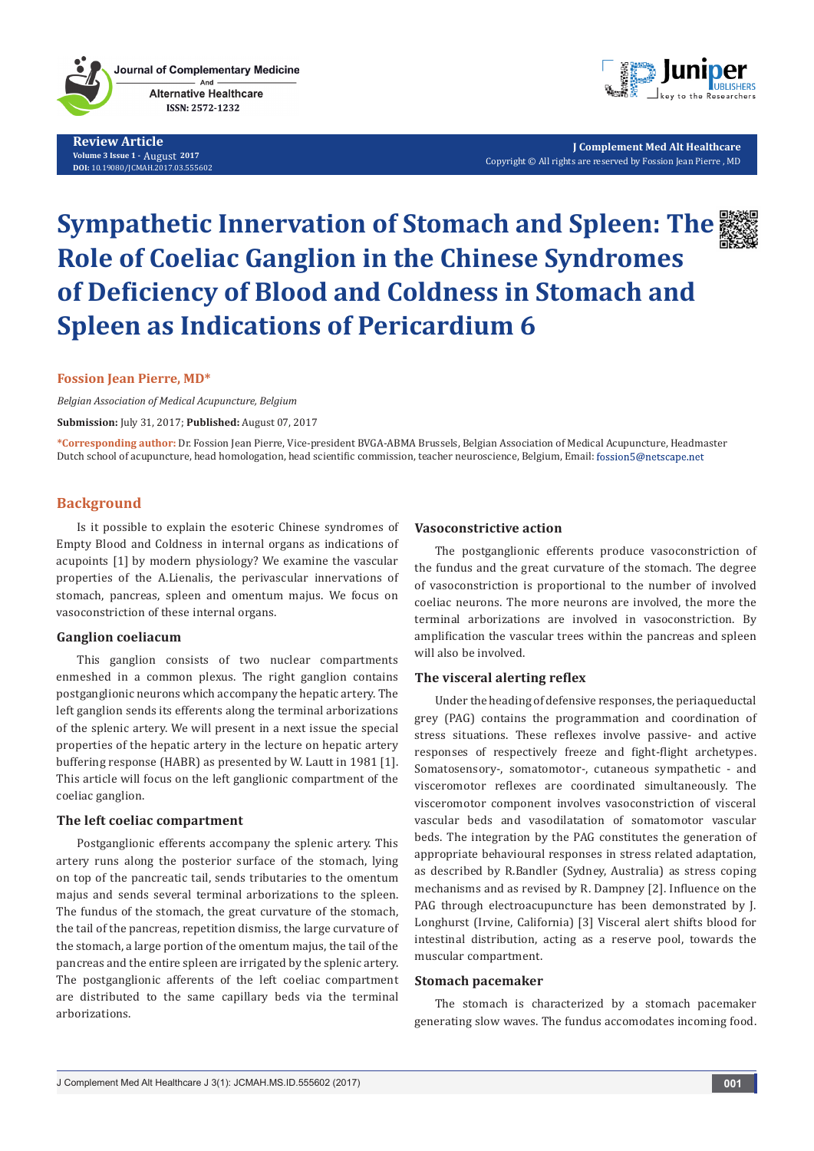

**Review Article Volume 3 Issue 1 -** August**<sup>2017</sup> DOI:** [10.19080/JCMAH.2017.03.555602](http://dx.doi.org/10.19080/JCMAH.2017.03.555602)



**J Complement Med Alt Healthcare** Copyright © All rights are reserved by Fossion Jean Pierre , MD

# **Sympathetic Innervation of Stomach and Spleen: The Role of Coeliac Ganglion in the Chinese Syndromes of Deficiency of Blood and Coldness in Stomach and Spleen as Indications of Pericardium 6**



# **Fossion Jean Pierre, MD\***

*Belgian Association of Medical Acupuncture, Belgium*

**Submission:** July 31, 2017; **Published:** August 07, 2017

**\*Corresponding author:** Dr. Fossion Jean Pierre, Vice-president BVGA-ABMA Brussels, Belgian Association of Medical Acupuncture, Headmaster Dutch school of acupuncture, head homologation, head scientific commission, teacher neuroscience, Belgium, Email: fossion5@netscape.net

# **Background**

Is it possible to explain the esoteric Chinese syndromes of Empty Blood and Coldness in internal organs as indications of acupoints [1] by modern physiology? We examine the vascular properties of the A.Lienalis, the perivascular innervations of stomach, pancreas, spleen and omentum majus. We focus on vasoconstriction of these internal organs.

#### **Ganglion coeliacum**

This ganglion consists of two nuclear compartments enmeshed in a common plexus. The right ganglion contains postganglionic neurons which accompany the hepatic artery. The left ganglion sends its efferents along the terminal arborizations of the splenic artery. We will present in a next issue the special properties of the hepatic artery in the lecture on hepatic artery buffering response (HABR) as presented by W. Lautt in 1981 [1]. This article will focus on the left ganglionic compartment of the coeliac ganglion.

## **The left coeliac compartment**

Postganglionic efferents accompany the splenic artery. This artery runs along the posterior surface of the stomach, lying on top of the pancreatic tail, sends tributaries to the omentum majus and sends several terminal arborizations to the spleen. The fundus of the stomach, the great curvature of the stomach, the tail of the pancreas, repetition dismiss, the large curvature of the stomach, a large portion of the omentum majus, the tail of the pancreas and the entire spleen are irrigated by the splenic artery. The postganglionic afferents of the left coeliac compartment are distributed to the same capillary beds via the terminal arborizations.

## **Vasoconstrictive action**

The postganglionic efferents produce vasoconstriction of the fundus and the great curvature of the stomach. The degree of vasoconstriction is proportional to the number of involved coeliac neurons. The more neurons are involved, the more the terminal arborizations are involved in vasoconstriction. By amplification the vascular trees within the pancreas and spleen will also be involved.

## **The visceral alerting reflex**

Under the heading of defensive responses, the periaqueductal grey (PAG) contains the programmation and coordination of stress situations. These reflexes involve passive- and active responses of respectively freeze and fight-flight archetypes. Somatosensory-, somatomotor-, cutaneous sympathetic - and visceromotor reflexes are coordinated simultaneously. The visceromotor component involves vasoconstriction of visceral vascular beds and vasodilatation of somatomotor vascular beds. The integration by the PAG constitutes the generation of appropriate behavioural responses in stress related adaptation, as described by R.Bandler (Sydney, Australia) as stress coping mechanisms and as revised by R. Dampney [2]. Influence on the PAG through electroacupuncture has been demonstrated by J. Longhurst (Irvine, California) [3] Visceral alert shifts blood for intestinal distribution, acting as a reserve pool, towards the muscular compartment.

#### **Stomach pacemaker**

The stomach is characterized by a stomach pacemaker generating slow waves. The fundus accomodates incoming food.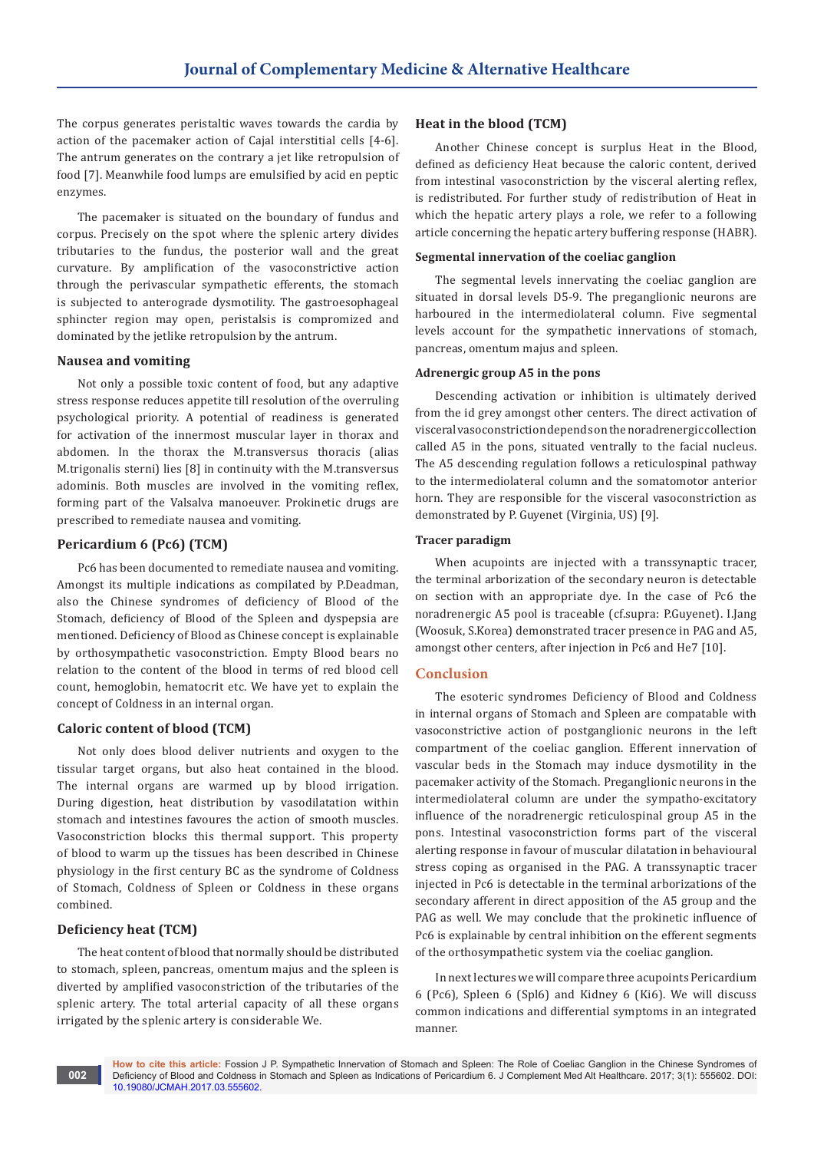The corpus generates peristaltic waves towards the cardia by action of the pacemaker action of Cajal interstitial cells [4-6]. The antrum generates on the contrary a jet like retropulsion of food [7]. Meanwhile food lumps are emulsified by acid en peptic enzymes.

The pacemaker is situated on the boundary of fundus and corpus. Precisely on the spot where the splenic artery divides tributaries to the fundus, the posterior wall and the great curvature. By amplification of the vasoconstrictive action through the perivascular sympathetic efferents, the stomach is subjected to anterograde dysmotility. The gastroesophageal sphincter region may open, peristalsis is compromized and dominated by the jetlike retropulsion by the antrum.

#### **Nausea and vomiting**

Not only a possible toxic content of food, but any adaptive stress response reduces appetite till resolution of the overruling psychological priority. A potential of readiness is generated for activation of the innermost muscular layer in thorax and abdomen. In the thorax the M.transversus thoracis (alias M.trigonalis sterni) lies [8] in continuity with the M.transversus adominis. Both muscles are involved in the vomiting reflex, forming part of the Valsalva manoeuver. Prokinetic drugs are prescribed to remediate nausea and vomiting.

# **Pericardium 6 (Pc6) (TCM)**

Pc6 has been documented to remediate nausea and vomiting. Amongst its multiple indications as compilated by P.Deadman, also the Chinese syndromes of deficiency of Blood of the Stomach, deficiency of Blood of the Spleen and dyspepsia are mentioned. Deficiency of Blood as Chinese concept is explainable by orthosympathetic vasoconstriction. Empty Blood bears no relation to the content of the blood in terms of red blood cell count, hemoglobin, hematocrit etc. We have yet to explain the concept of Coldness in an internal organ.

## **Caloric content of blood (TCM)**

Not only does blood deliver nutrients and oxygen to the tissular target organs, but also heat contained in the blood. The internal organs are warmed up by blood irrigation. During digestion, heat distribution by vasodilatation within stomach and intestines favoures the action of smooth muscles. Vasoconstriction blocks this thermal support. This property of blood to warm up the tissues has been described in Chinese physiology in the first century BC as the syndrome of Coldness of Stomach, Coldness of Spleen or Coldness in these organs combined.

## **Deficiency heat (TCM)**

The heat content of blood that normally should be distributed to stomach, spleen, pancreas, omentum majus and the spleen is diverted by amplified vasoconstriction of the tributaries of the splenic artery. The total arterial capacity of all these organs irrigated by the splenic artery is considerable We.

#### **Heat in the blood (TCM)**

Another Chinese concept is surplus Heat in the Blood, defined as deficiency Heat because the caloric content, derived from intestinal vasoconstriction by the visceral alerting reflex, is redistributed. For further study of redistribution of Heat in which the hepatic artery plays a role, we refer to a following article concerning the hepatic artery buffering response (HABR).

#### **Segmental innervation of the coeliac ganglion**

The segmental levels innervating the coeliac ganglion are situated in dorsal levels D5-9. The preganglionic neurons are harboured in the intermediolateral column. Five segmental levels account for the sympathetic innervations of stomach, pancreas, omentum majus and spleen.

## **Adrenergic group A5 in the pons**

Descending activation or inhibition is ultimately derived from the id grey amongst other centers. The direct activation of visceral vasoconstriction depends on the noradrenergic collection called A5 in the pons, situated ventrally to the facial nucleus. The A5 descending regulation follows a reticulospinal pathway to the intermediolateral column and the somatomotor anterior horn. They are responsible for the visceral vasoconstriction as demonstrated by P. Guyenet (Virginia, US) [9].

#### **Tracer paradigm**

When acupoints are injected with a transsynaptic tracer, the terminal arborization of the secondary neuron is detectable on section with an appropriate dye. In the case of Pc6 the noradrenergic A5 pool is traceable (cf.supra: P.Guyenet). I.Jang (Woosuk, S.Korea) demonstrated tracer presence in PAG and A5, amongst other centers, after injection in Pc6 and He7 [10].

#### **Conclusion**

The esoteric syndromes Deficiency of Blood and Coldness in internal organs of Stomach and Spleen are compatable with vasoconstrictive action of postganglionic neurons in the left compartment of the coeliac ganglion. Efferent innervation of vascular beds in the Stomach may induce dysmotility in the pacemaker activity of the Stomach. Preganglionic neurons in the intermediolateral column are under the sympatho-excitatory influence of the noradrenergic reticulospinal group A5 in the pons. Intestinal vasoconstriction forms part of the visceral alerting response in favour of muscular dilatation in behavioural stress coping as organised in the PAG. A transsynaptic tracer injected in Pc6 is detectable in the terminal arborizations of the secondary afferent in direct apposition of the A5 group and the PAG as well. We may conclude that the prokinetic influence of Pc6 is explainable by central inhibition on the efferent segments of the orthosympathetic system via the coeliac ganglion.

In next lectures we will compare three acupoints Pericardium 6 (Pc6), Spleen 6 (Spl6) and Kidney 6 (Ki6). We will discuss common indications and differential symptoms in an integrated manner.